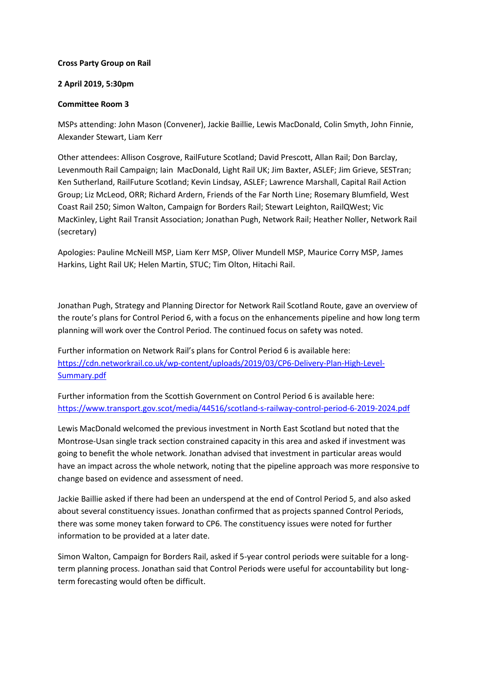#### **Cross Party Group on Rail**

#### **2 April 2019, 5:30pm**

### **Committee Room 3**

MSPs attending: John Mason (Convener), Jackie Baillie, Lewis MacDonald, Colin Smyth, John Finnie, Alexander Stewart, Liam Kerr

Other attendees: Allison Cosgrove, RailFuture Scotland; David Prescott, Allan Rail; Don Barclay, Levenmouth Rail Campaign; Iain MacDonald, Light Rail UK; Jim Baxter, ASLEF; Jim Grieve, SESTran; Ken Sutherland, RailFuture Scotland; Kevin Lindsay, ASLEF; Lawrence Marshall, Capital Rail Action Group; Liz McLeod, ORR; Richard Ardern, Friends of the Far North Line; Rosemary Blumfield, West Coast Rail 250; Simon Walton, Campaign for Borders Rail; Stewart Leighton, RailQWest; Vic MacKinley, Light Rail Transit Association; Jonathan Pugh, Network Rail; Heather Noller, Network Rail (secretary)

Apologies: Pauline McNeill MSP, Liam Kerr MSP, Oliver Mundell MSP, Maurice Corry MSP, James Harkins, Light Rail UK; Helen Martin, STUC; Tim Olton, Hitachi Rail.

Jonathan Pugh, Strategy and Planning Director for Network Rail Scotland Route, gave an overview of the route's plans for Control Period 6, with a focus on the enhancements pipeline and how long term planning will work over the Control Period. The continued focus on safety was noted.

Further information on Network Rail's plans for Control Period 6 is available here: [https://cdn.networkrail.co.uk/wp-content/uploads/2019/03/CP6-Delivery-Plan-High-Level-](https://cdn.networkrail.co.uk/wp-content/uploads/2019/03/CP6-Delivery-Plan-High-Level-Summary.pdf)[Summary.pdf](https://cdn.networkrail.co.uk/wp-content/uploads/2019/03/CP6-Delivery-Plan-High-Level-Summary.pdf)

Further information from the Scottish Government on Control Period 6 is available here: <https://www.transport.gov.scot/media/44516/scotland-s-railway-control-period-6-2019-2024.pdf>

Lewis MacDonald welcomed the previous investment in North East Scotland but noted that the Montrose-Usan single track section constrained capacity in this area and asked if investment was going to benefit the whole network. Jonathan advised that investment in particular areas would have an impact across the whole network, noting that the pipeline approach was more responsive to change based on evidence and assessment of need.

Jackie Baillie asked if there had been an underspend at the end of Control Period 5, and also asked about several constituency issues. Jonathan confirmed that as projects spanned Control Periods, there was some money taken forward to CP6. The constituency issues were noted for further information to be provided at a later date.

Simon Walton, Campaign for Borders Rail, asked if 5-year control periods were suitable for a longterm planning process. Jonathan said that Control Periods were useful for accountability but longterm forecasting would often be difficult.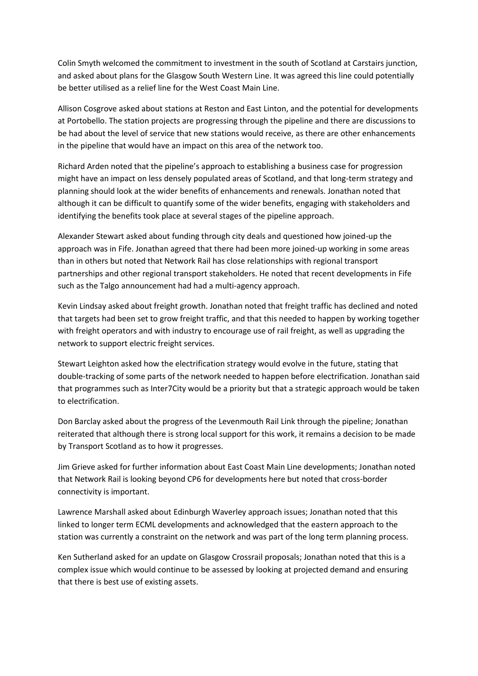Colin Smyth welcomed the commitment to investment in the south of Scotland at Carstairs junction, and asked about plans for the Glasgow South Western Line. It was agreed this line could potentially be better utilised as a relief line for the West Coast Main Line.

Allison Cosgrove asked about stations at Reston and East Linton, and the potential for developments at Portobello. The station projects are progressing through the pipeline and there are discussions to be had about the level of service that new stations would receive, as there are other enhancements in the pipeline that would have an impact on this area of the network too.

Richard Arden noted that the pipeline's approach to establishing a business case for progression might have an impact on less densely populated areas of Scotland, and that long-term strategy and planning should look at the wider benefits of enhancements and renewals. Jonathan noted that although it can be difficult to quantify some of the wider benefits, engaging with stakeholders and identifying the benefits took place at several stages of the pipeline approach.

Alexander Stewart asked about funding through city deals and questioned how joined-up the approach was in Fife. Jonathan agreed that there had been more joined-up working in some areas than in others but noted that Network Rail has close relationships with regional transport partnerships and other regional transport stakeholders. He noted that recent developments in Fife such as the Talgo announcement had had a multi-agency approach.

Kevin Lindsay asked about freight growth. Jonathan noted that freight traffic has declined and noted that targets had been set to grow freight traffic, and that this needed to happen by working together with freight operators and with industry to encourage use of rail freight, as well as upgrading the network to support electric freight services.

Stewart Leighton asked how the electrification strategy would evolve in the future, stating that double-tracking of some parts of the network needed to happen before electrification. Jonathan said that programmes such as Inter7City would be a priority but that a strategic approach would be taken to electrification.

Don Barclay asked about the progress of the Levenmouth Rail Link through the pipeline; Jonathan reiterated that although there is strong local support for this work, it remains a decision to be made by Transport Scotland as to how it progresses.

Jim Grieve asked for further information about East Coast Main Line developments; Jonathan noted that Network Rail is looking beyond CP6 for developments here but noted that cross-border connectivity is important.

Lawrence Marshall asked about Edinburgh Waverley approach issues; Jonathan noted that this linked to longer term ECML developments and acknowledged that the eastern approach to the station was currently a constraint on the network and was part of the long term planning process.

Ken Sutherland asked for an update on Glasgow Crossrail proposals; Jonathan noted that this is a complex issue which would continue to be assessed by looking at projected demand and ensuring that there is best use of existing assets.